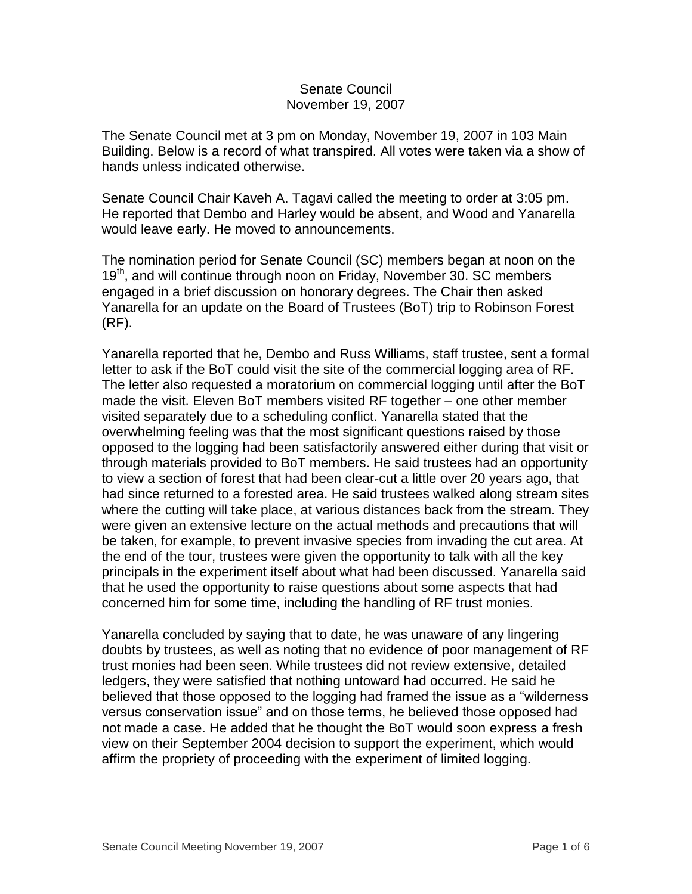#### Senate Council November 19, 2007

The Senate Council met at 3 pm on Monday, November 19, 2007 in 103 Main Building. Below is a record of what transpired. All votes were taken via a show of hands unless indicated otherwise.

Senate Council Chair Kaveh A. Tagavi called the meeting to order at 3:05 pm. He reported that Dembo and Harley would be absent, and Wood and Yanarella would leave early. He moved to announcements.

The nomination period for Senate Council (SC) members began at noon on the 19<sup>th</sup>, and will continue through noon on Friday, November 30. SC members engaged in a brief discussion on honorary degrees. The Chair then asked Yanarella for an update on the Board of Trustees (BoT) trip to Robinson Forest (RF).

Yanarella reported that he, Dembo and Russ Williams, staff trustee, sent a formal letter to ask if the BoT could visit the site of the commercial logging area of RF. The letter also requested a moratorium on commercial logging until after the BoT made the visit. Eleven BoT members visited RF together – one other member visited separately due to a scheduling conflict. Yanarella stated that the overwhelming feeling was that the most significant questions raised by those opposed to the logging had been satisfactorily answered either during that visit or through materials provided to BoT members. He said trustees had an opportunity to view a section of forest that had been clear-cut a little over 20 years ago, that had since returned to a forested area. He said trustees walked along stream sites where the cutting will take place, at various distances back from the stream. They were given an extensive lecture on the actual methods and precautions that will be taken, for example, to prevent invasive species from invading the cut area. At the end of the tour, trustees were given the opportunity to talk with all the key principals in the experiment itself about what had been discussed. Yanarella said that he used the opportunity to raise questions about some aspects that had concerned him for some time, including the handling of RF trust monies.

Yanarella concluded by saying that to date, he was unaware of any lingering doubts by trustees, as well as noting that no evidence of poor management of RF trust monies had been seen. While trustees did not review extensive, detailed ledgers, they were satisfied that nothing untoward had occurred. He said he believed that those opposed to the logging had framed the issue as a "wilderness versus conservation issue" and on those terms, he believed those opposed had not made a case. He added that he thought the BoT would soon express a fresh view on their September 2004 decision to support the experiment, which would affirm the propriety of proceeding with the experiment of limited logging.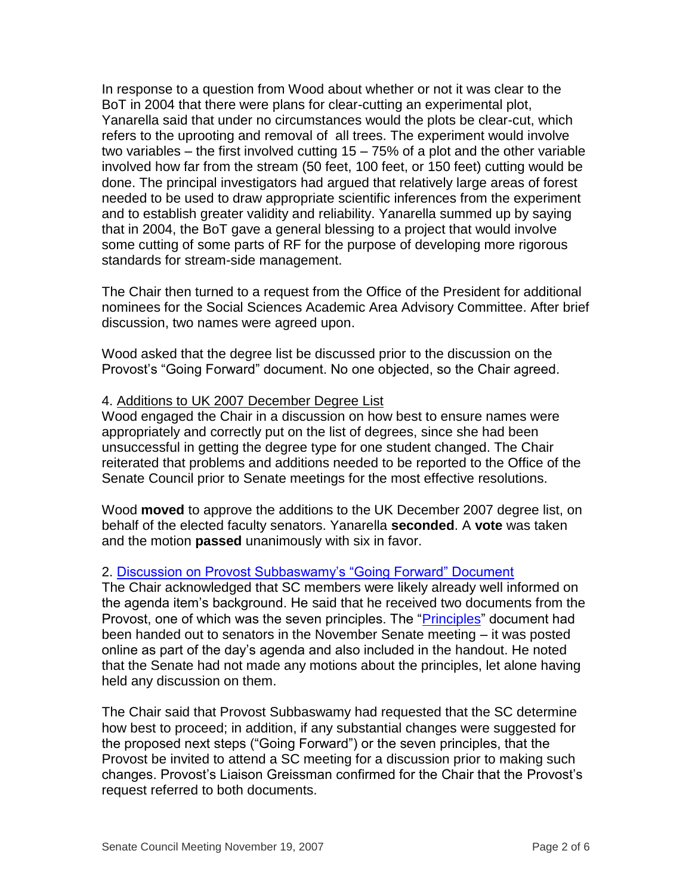In response to a question from Wood about whether or not it was clear to the BoT in 2004 that there were plans for clear-cutting an experimental plot, Yanarella said that under no circumstances would the plots be clear-cut, which refers to the uprooting and removal of all trees. The experiment would involve two variables – the first involved cutting 15 – 75% of a plot and the other variable involved how far from the stream (50 feet, 100 feet, or 150 feet) cutting would be done. The principal investigators had argued that relatively large areas of forest needed to be used to draw appropriate scientific inferences from the experiment and to establish greater validity and reliability. Yanarella summed up by saying that in 2004, the BoT gave a general blessing to a project that would involve some cutting of some parts of RF for the purpose of developing more rigorous standards for stream-side management.

The Chair then turned to a request from the Office of the President for additional nominees for the Social Sciences Academic Area Advisory Committee. After brief discussion, two names were agreed upon.

Wood asked that the degree list be discussed prior to the discussion on the Provost's "Going Forward" document. No one objected, so the Chair agreed.

### 4. Additions to UK 2007 December Degree List

Wood engaged the Chair in a discussion on how best to ensure names were appropriately and correctly put on the list of degrees, since she had been unsuccessful in getting the degree type for one student changed. The Chair reiterated that problems and additions needed to be reported to the Office of the Senate Council prior to Senate meetings for the most effective resolutions.

Wood **moved** to approve the additions to the UK December 2007 degree list, on behalf of the elected faculty senators. Yanarella **seconded**. A **vote** was taken and the motion **passed** unanimously with six in favor.

# 2. [Discussion on Provost Subbaswamy's "Going Forward" Document](http://www.uky.edu/USC/New/files/20071119/Going%20Forward%20_post%20steering%20committee%20process_.pdf)

The Chair acknowledged that SC members were likely already well informed on the agenda item's background. He said that he received two documents from the Provost, one of which was the seven principles. The ["Principles"](http://www.uky.edu/USC/New/files/20071119/Principles%20of%20General%20Education%20_version4_.pdf) document had been handed out to senators in the November Senate meeting – it was posted online as part of the day's agenda and also included in the handout. He noted that the Senate had not made any motions about the principles, let alone having held any discussion on them.

The Chair said that Provost Subbaswamy had requested that the SC determine how best to proceed; in addition, if any substantial changes were suggested for the proposed next steps ("Going Forward") or the seven principles, that the Provost be invited to attend a SC meeting for a discussion prior to making such changes. Provost's Liaison Greissman confirmed for the Chair that the Provost's request referred to both documents.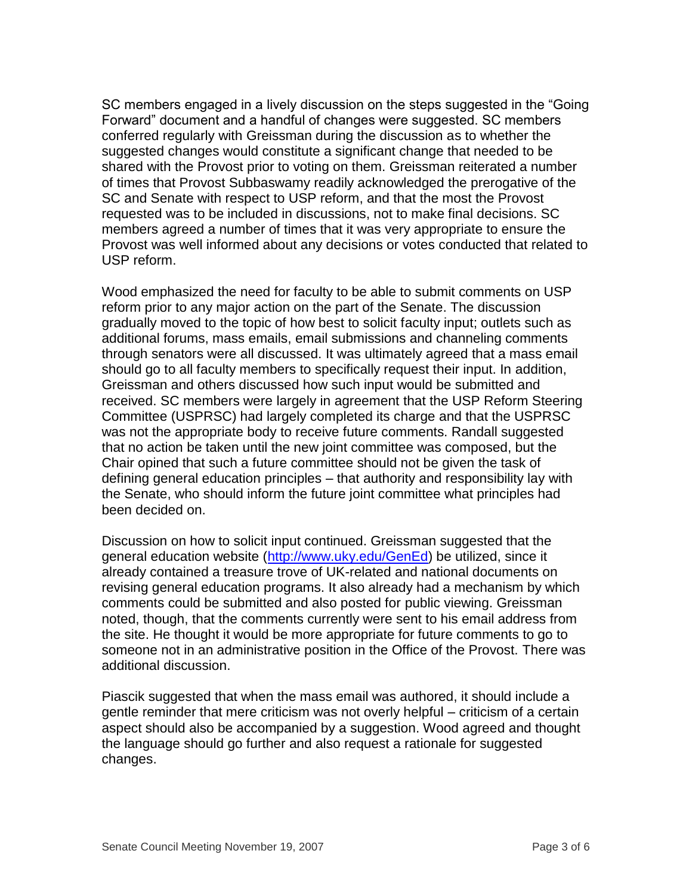SC members engaged in a lively discussion on the steps suggested in the "Going Forward" document and a handful of changes were suggested. SC members conferred regularly with Greissman during the discussion as to whether the suggested changes would constitute a significant change that needed to be shared with the Provost prior to voting on them. Greissman reiterated a number of times that Provost Subbaswamy readily acknowledged the prerogative of the SC and Senate with respect to USP reform, and that the most the Provost requested was to be included in discussions, not to make final decisions. SC members agreed a number of times that it was very appropriate to ensure the Provost was well informed about any decisions or votes conducted that related to USP reform.

Wood emphasized the need for faculty to be able to submit comments on USP reform prior to any major action on the part of the Senate. The discussion gradually moved to the topic of how best to solicit faculty input; outlets such as additional forums, mass emails, email submissions and channeling comments through senators were all discussed. It was ultimately agreed that a mass email should go to all faculty members to specifically request their input. In addition, Greissman and others discussed how such input would be submitted and received. SC members were largely in agreement that the USP Reform Steering Committee (USPRSC) had largely completed its charge and that the USPRSC was not the appropriate body to receive future comments. Randall suggested that no action be taken until the new joint committee was composed, but the Chair opined that such a future committee should not be given the task of defining general education principles – that authority and responsibility lay with the Senate, who should inform the future joint committee what principles had been decided on.

Discussion on how to solicit input continued. Greissman suggested that the general education website [\(http://www.uky.edu/GenEd\)](http://www.uky.edu/GenEd) be utilized, since it already contained a treasure trove of UK-related and national documents on revising general education programs. It also already had a mechanism by which comments could be submitted and also posted for public viewing. Greissman noted, though, that the comments currently were sent to his email address from the site. He thought it would be more appropriate for future comments to go to someone not in an administrative position in the Office of the Provost. There was additional discussion.

Piascik suggested that when the mass email was authored, it should include a gentle reminder that mere criticism was not overly helpful – criticism of a certain aspect should also be accompanied by a suggestion. Wood agreed and thought the language should go further and also request a rationale for suggested changes.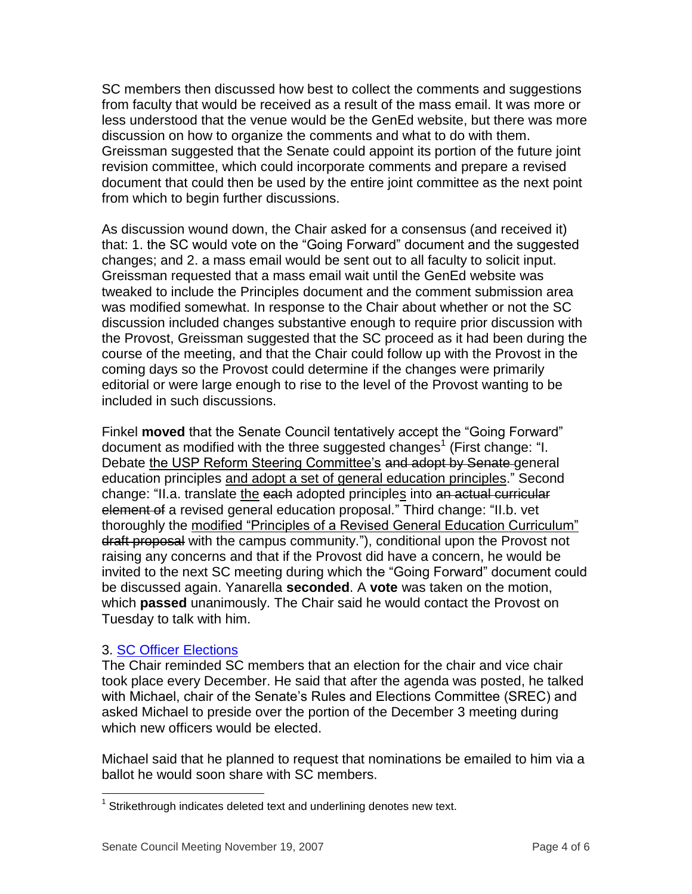SC members then discussed how best to collect the comments and suggestions from faculty that would be received as a result of the mass email. It was more or less understood that the venue would be the GenEd website, but there was more discussion on how to organize the comments and what to do with them. Greissman suggested that the Senate could appoint its portion of the future joint revision committee, which could incorporate comments and prepare a revised document that could then be used by the entire joint committee as the next point from which to begin further discussions.

As discussion wound down, the Chair asked for a consensus (and received it) that: 1. the SC would vote on the "Going Forward" document and the suggested changes; and 2. a mass email would be sent out to all faculty to solicit input. Greissman requested that a mass email wait until the GenEd website was tweaked to include the Principles document and the comment submission area was modified somewhat. In response to the Chair about whether or not the SC discussion included changes substantive enough to require prior discussion with the Provost, Greissman suggested that the SC proceed as it had been during the course of the meeting, and that the Chair could follow up with the Provost in the coming days so the Provost could determine if the changes were primarily editorial or were large enough to rise to the level of the Provost wanting to be included in such discussions.

Finkel **moved** that the Senate Council tentatively accept the "Going Forward" document as modified with the three suggested changes<sup>1</sup> (First change: "I. Debate the USP Reform Steering Committee's and adopt by Senate general education principles and adopt a set of general education principles." Second change: "II.a. translate the each adopted principles into an actual curricular element of a revised general education proposal." Third change: "II.b. vet thoroughly the modified "Principles of a Revised General Education Curriculum" draft proposal with the campus community."), conditional upon the Provost not raising any concerns and that if the Provost did have a concern, he would be invited to the next SC meeting during which the "Going Forward" document could be discussed again. Yanarella **seconded**. A **vote** was taken on the motion, which **passed** unanimously. The Chair said he would contact the Provost on Tuesday to talk with him.

# 3. [SC Officer Elections](http://www.uky.edu/USC/New/files/20071119/SC%20Officer%20Elections.pdf)

 $\overline{a}$ 

The Chair reminded SC members that an election for the chair and vice chair took place every December. He said that after the agenda was posted, he talked with Michael, chair of the Senate's Rules and Elections Committee (SREC) and asked Michael to preside over the portion of the December 3 meeting during which new officers would be elected.

Michael said that he planned to request that nominations be emailed to him via a ballot he would soon share with SC members.

 $1$  Strikethrough indicates deleted text and underlining denotes new text.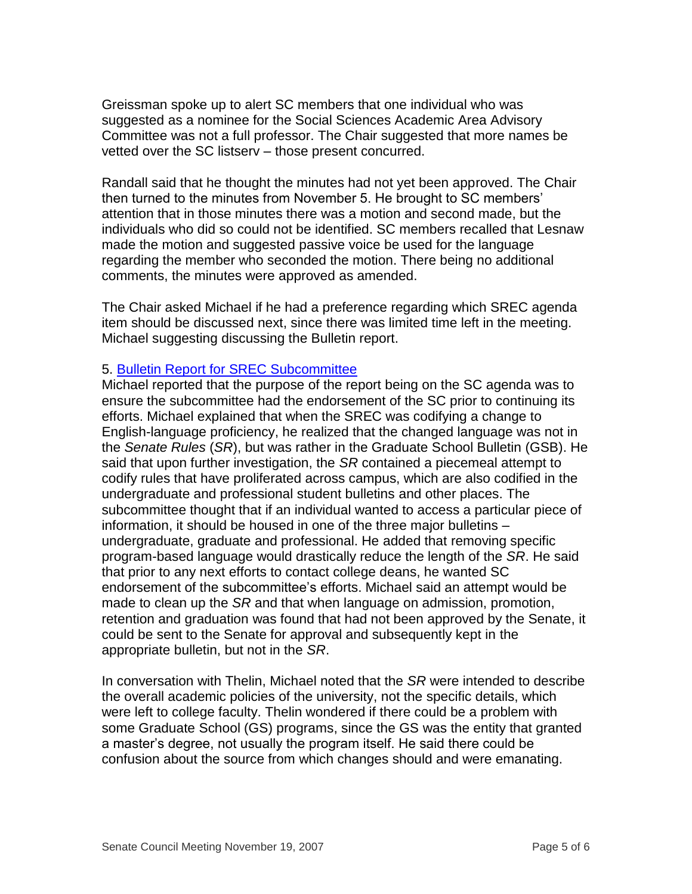Greissman spoke up to alert SC members that one individual who was suggested as a nominee for the Social Sciences Academic Area Advisory Committee was not a full professor. The Chair suggested that more names be vetted over the SC listserv – those present concurred.

Randall said that he thought the minutes had not yet been approved. The Chair then turned to the minutes from November 5. He brought to SC members' attention that in those minutes there was a motion and second made, but the individuals who did so could not be identified. SC members recalled that Lesnaw made the motion and suggested passive voice be used for the language regarding the member who seconded the motion. There being no additional comments, the minutes were approved as amended.

The Chair asked Michael if he had a preference regarding which SREC agenda item should be discussed next, since there was limited time left in the meeting. Michael suggesting discussing the Bulletin report.

#### 5. [Bulletin Report for SREC Subcommittee](http://www.uky.edu/USC/New/files/20071119/Report%20of%20the%20Ad%20Hoc%20Subcommittee%20on%20Bulletins.pdf)

Michael reported that the purpose of the report being on the SC agenda was to ensure the subcommittee had the endorsement of the SC prior to continuing its efforts. Michael explained that when the SREC was codifying a change to English-language proficiency, he realized that the changed language was not in the *Senate Rules* (*SR*), but was rather in the Graduate School Bulletin (GSB). He said that upon further investigation, the *SR* contained a piecemeal attempt to codify rules that have proliferated across campus, which are also codified in the undergraduate and professional student bulletins and other places. The subcommittee thought that if an individual wanted to access a particular piece of information, it should be housed in one of the three major bulletins – undergraduate, graduate and professional. He added that removing specific program-based language would drastically reduce the length of the *SR*. He said that prior to any next efforts to contact college deans, he wanted SC endorsement of the subcommittee's efforts. Michael said an attempt would be made to clean up the *SR* and that when language on admission, promotion, retention and graduation was found that had not been approved by the Senate, it could be sent to the Senate for approval and subsequently kept in the appropriate bulletin, but not in the *SR*.

In conversation with Thelin, Michael noted that the *SR* were intended to describe the overall academic policies of the university, not the specific details, which were left to college faculty. Thelin wondered if there could be a problem with some Graduate School (GS) programs, since the GS was the entity that granted a master's degree, not usually the program itself. He said there could be confusion about the source from which changes should and were emanating.